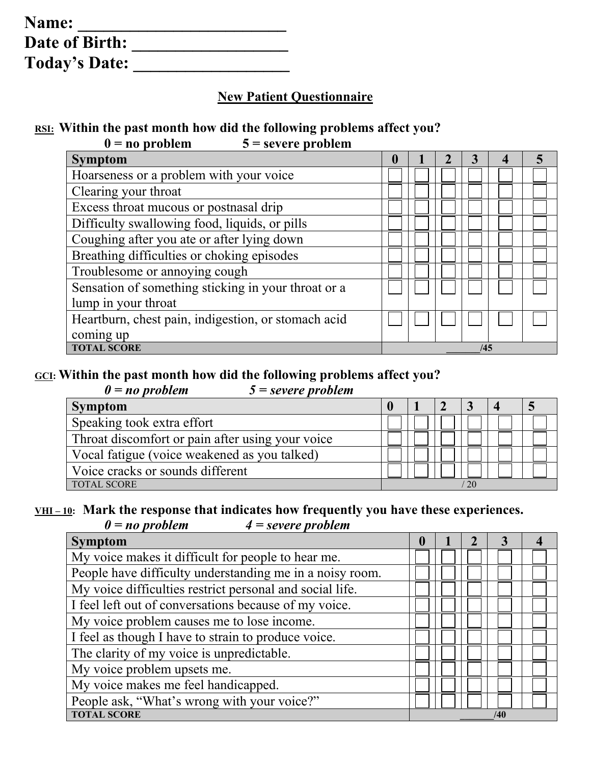| Name:                |  |
|----------------------|--|
| Date of Birth:       |  |
| <b>Today's Date:</b> |  |

### **New Patient Questionnaire**

#### **RSI: Within the past month how did the following problems affect you?**

| $0 = no$ problem | $5$ = severe problem |
|------------------|----------------------|
|                  |                      |

| <b>Symptom</b>                                      | U |  |     |  |
|-----------------------------------------------------|---|--|-----|--|
| Hoarseness or a problem with your voice             |   |  |     |  |
| Clearing your throat                                |   |  |     |  |
| Excess throat mucous or postnasal drip              |   |  |     |  |
| Difficulty swallowing food, liquids, or pills       |   |  |     |  |
| Coughing after you ate or after lying down          |   |  |     |  |
| Breathing difficulties or choking episodes          |   |  |     |  |
| Troublesome or annoying cough                       |   |  |     |  |
| Sensation of something sticking in your throat or a |   |  |     |  |
| lump in your throat                                 |   |  |     |  |
| Heartburn, chest pain, indigestion, or stomach acid |   |  |     |  |
| coming up                                           |   |  |     |  |
| <b>TOTAL SCORE</b>                                  |   |  | /45 |  |

## **GCI: Within the past month how did the following problems affect you?**

| $\theta$ = no problem | $5 = severe problem$ |
|-----------------------|----------------------|
|                       |                      |

| Symptom                                          |  |  |  |
|--------------------------------------------------|--|--|--|
| Speaking took extra effort                       |  |  |  |
| Throat discomfort or pain after using your voice |  |  |  |
| Vocal fatigue (voice weakened as you talked)     |  |  |  |
| Voice cracks or sounds different                 |  |  |  |
| <b>TOTAL SCORE</b>                               |  |  |  |

# <u>VHI-10</u>: Mark the response that indicates how frequently you have these experiences.<br> $0 = no$  problem  $4 = severe$  problem

*0 = no problem 4 = severe problem*

| <b>Symptom</b>                                           | $\mathbf 0$ |  |     |  |
|----------------------------------------------------------|-------------|--|-----|--|
| My voice makes it difficult for people to hear me.       |             |  |     |  |
| People have difficulty understanding me in a noisy room. |             |  |     |  |
| My voice difficulties restrict personal and social life. |             |  |     |  |
| I feel left out of conversations because of my voice.    |             |  |     |  |
| My voice problem causes me to lose income.               |             |  |     |  |
| I feel as though I have to strain to produce voice.      |             |  |     |  |
| The clarity of my voice is unpredictable.                |             |  |     |  |
| My voice problem upsets me.                              |             |  |     |  |
| My voice makes me feel handicapped.                      |             |  |     |  |
| People ask, "What's wrong with your voice?"              |             |  |     |  |
| <b>TOTAL SCORE</b>                                       |             |  | /40 |  |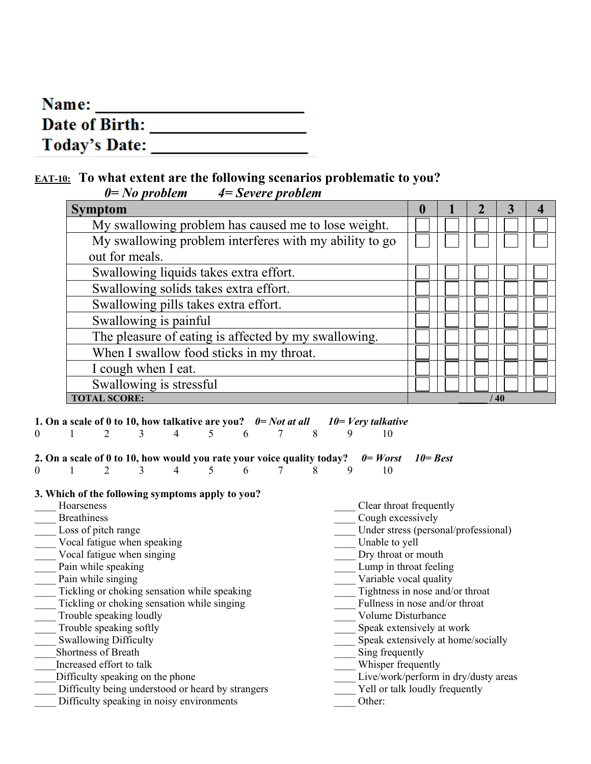| Name:                |  |
|----------------------|--|
| Date of Birth:       |  |
| <b>Today's Date:</b> |  |

#### **EAT-10: To what extent are the following scenarios problematic to you?** *0= No problem 4= Severe problem*

| $\cdots$ provider                                      |   |  |    |  |
|--------------------------------------------------------|---|--|----|--|
| <b>Symptom</b>                                         | U |  |    |  |
| My swallowing problem has caused me to lose weight.    |   |  |    |  |
| My swallowing problem interferes with my ability to go |   |  |    |  |
| out for meals.                                         |   |  |    |  |
| Swallowing liquids takes extra effort.                 |   |  |    |  |
| Swallowing solids takes extra effort.                  |   |  |    |  |
| Swallowing pills takes extra effort.                   |   |  |    |  |
| Swallowing is painful                                  |   |  |    |  |
| The pleasure of eating is affected by my swallowing.   |   |  |    |  |
| When I swallow food sticks in my throat.               |   |  |    |  |
| I cough when I eat.                                    |   |  |    |  |
| Swallowing is stressful                                |   |  |    |  |
| <b>TOTAL SCORE:</b>                                    |   |  | 40 |  |

**1. On a scale of 0 to 10, how talkative are you?**  $0 = Not$  at all  $10 = Very$  talkative  $0 = 1$   $2 = 3$   $4 = 5$   $6 = 7$   $8 = 9$   $10$ 0 1 2 3 4 5 6 7 8 9 10

# **2. On a scale of 0 to 10, how would you rate your voice quality today?**  $0 = Worst$  10= Best<br>0 1 2 3 4 5 6 7 8 9 10

#### 0 1 2 3 4 5 6 7 8 9 10

#### **3. Which of the following symptoms apply to you?**

| Hoarseness                                        | Clear throat frequently              |
|---------------------------------------------------|--------------------------------------|
| <b>Breathiness</b>                                | Cough excessively                    |
| Loss of pitch range                               | Under stress (personal/professional) |
| Vocal fatigue when speaking                       | Unable to yell                       |
| Vocal fatigue when singing                        | Dry throat or mouth                  |
| Pain while speaking                               | Lump in throat feeling               |
| Pain while singing                                | Variable vocal quality               |
| Tickling or choking sensation while speaking      | Tightness in nose and/or throat      |
| Tickling or choking sensation while singing       | Fullness in nose and/or throat       |
| Trouble speaking loudly                           | <b>Volume Disturbance</b>            |
| Trouble speaking softly                           | Speak extensively at work            |
| <b>Swallowing Difficulty</b>                      | Speak extensively at home/socially   |
| Shortness of Breath                               | Sing frequently                      |
| Increased effort to talk                          | Whisper frequently                   |
| Difficulty speaking on the phone                  | Live/work/perform in dry/dusty areas |
| Difficulty being understood or heard by strangers | Yell or talk loudly frequently       |
| Difficulty speaking in noisy environments         | Other:                               |
|                                                   |                                      |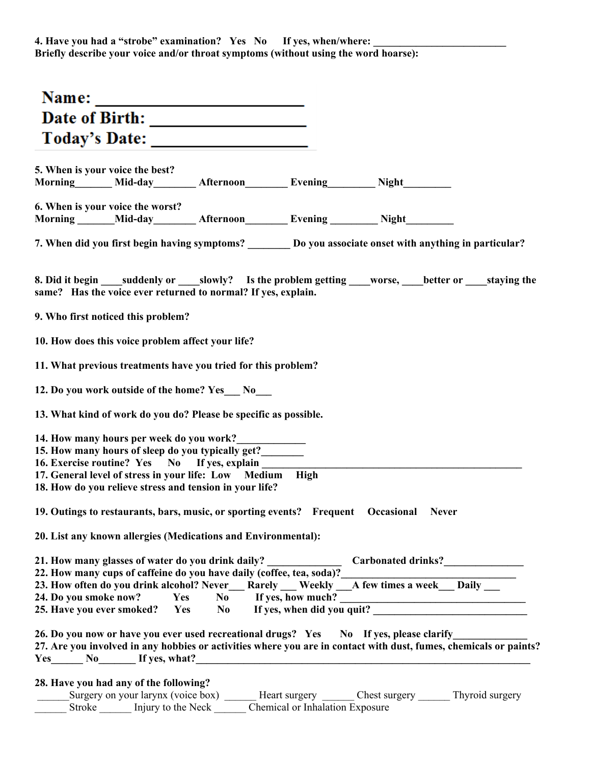| Today's Date:                                                                                                                                                                                                                                                                                                                                                                                                                     |                                 |  |
|-----------------------------------------------------------------------------------------------------------------------------------------------------------------------------------------------------------------------------------------------------------------------------------------------------------------------------------------------------------------------------------------------------------------------------------|---------------------------------|--|
| 5. When is your voice the best?<br>Morning Mid-day Afternoon Evening Night Night                                                                                                                                                                                                                                                                                                                                                  |                                 |  |
| 6. When is your voice the worst?<br>Morning ______Mid-day _______ Afternoon ________ Evening ________ Night ________                                                                                                                                                                                                                                                                                                              |                                 |  |
| 7. When did you first begin having symptoms? ________ Do you associate onset with anything in particular?                                                                                                                                                                                                                                                                                                                         |                                 |  |
| same? Has the voice ever returned to normal? If yes, explain.                                                                                                                                                                                                                                                                                                                                                                     |                                 |  |
| 9. Who first noticed this problem?                                                                                                                                                                                                                                                                                                                                                                                                |                                 |  |
| 10. How does this voice problem affect your life?                                                                                                                                                                                                                                                                                                                                                                                 |                                 |  |
| 11. What previous treatments have you tried for this problem?                                                                                                                                                                                                                                                                                                                                                                     |                                 |  |
| 12. Do you work outside of the home? Yes No                                                                                                                                                                                                                                                                                                                                                                                       |                                 |  |
| 13. What kind of work do you do? Please be specific as possible.                                                                                                                                                                                                                                                                                                                                                                  |                                 |  |
| 14. How many hours per week do you work?<br>15. How many hours of sleep do you typically get?_______<br>16. Exercise routine? Yes No If yes, explain ________<br>17. General level of stress in your life: Low Medium High<br>18. How do you relieve stress and tension in your life?                                                                                                                                             |                                 |  |
| 19. Outings to restaurants, bars, music, or sporting events? Frequent Occasional Never                                                                                                                                                                                                                                                                                                                                            |                                 |  |
| 20. List any known allergies (Medications and Environmental):                                                                                                                                                                                                                                                                                                                                                                     |                                 |  |
| 21. How many glasses of water do you drink daily? _______________<br>22. How many cups of caffeine do you have daily (coffee, tea, soda)?__<br>22. How many cups of caffeine do you have daily (coffee, tea, soda)?<br>23. How often do you drink alcohol? Never__Rarely __Weekly __A few times a week__Daily __<br>24. Do you smoke now? Yes No If yes, how much?<br>25. Have you ever smoked? Yes No If yes, when did you quit? |                                 |  |
| 26. Do you now or have you ever used recreational drugs? Yes No If yes, please clarify<br>27. Are you involved in any hobbies or activities where you are in contact with dust, fumes, chemicals or paints?<br>$Yes$ No If yes, what?                                                                                                                                                                                             |                                 |  |
| 28. Have you had any of the following?<br>Surgery on your larynx (voice box) ______ Heart surgery ______ Chest surgery ______ Thyroid surgery<br>Stroke Injury to the Neck                                                                                                                                                                                                                                                        | Chemical or Inhalation Exposure |  |